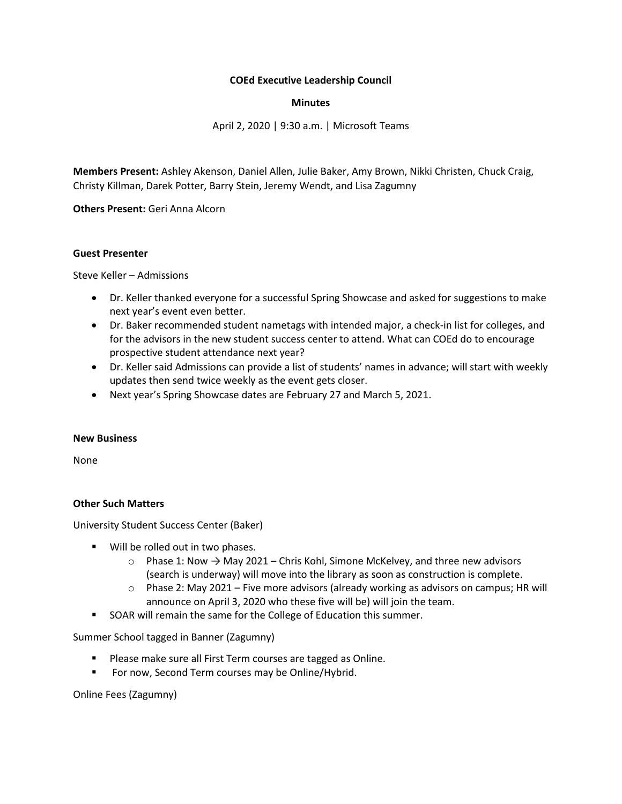#### **COEd Executive Leadership Council**

#### **Minutes**

April 2, 2020 | 9:30 a.m. | Microsoft Teams

**Members Present:** Ashley Akenson, Daniel Allen, Julie Baker, Amy Brown, Nikki Christen, Chuck Craig, Christy Killman, Darek Potter, Barry Stein, Jeremy Wendt, and Lisa Zagumny

**Others Present:** Geri Anna Alcorn

#### **Guest Presenter**

Steve Keller – Admissions

- Dr. Keller thanked everyone for a successful Spring Showcase and asked for suggestions to make next year's event even better.
- Dr. Baker recommended student nametags with intended major, a check-in list for colleges, and for the advisors in the new student success center to attend. What can COEd do to encourage prospective student attendance next year?
- Dr. Keller said Admissions can provide a list of students' names in advance; will start with weekly updates then send twice weekly as the event gets closer.
- Next year's Spring Showcase dates are February 27 and March 5, 2021.

#### **New Business**

None

## **Other Such Matters**

University Student Success Center (Baker)

- Will be rolled out in two phases.
	- $\circ$  Phase 1: Now  $\rightarrow$  May 2021 Chris Kohl, Simone McKelvey, and three new advisors (search is underway) will move into the library as soon as construction is complete.
	- $\circ$  Phase 2: May 2021 Five more advisors (already working as advisors on campus; HR will announce on April 3, 2020 who these five will be) will join the team.
- SOAR will remain the same for the College of Education this summer.

Summer School tagged in Banner (Zagumny)

- Please make sure all First Term courses are tagged as Online.
- For now, Second Term courses may be Online/Hybrid.

Online Fees (Zagumny)